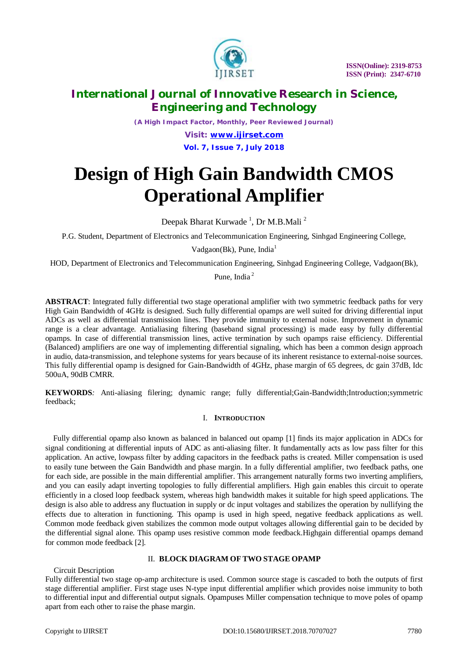

*(A High Impact Factor, Monthly, Peer Reviewed Journal)*

*Visit: [www.ijirset.com](http://www.ijirset.com)* **Vol. 7, Issue 7, July 2018**

# **Design of High Gain Bandwidth CMOS Operational Amplifier**

Deepak Bharat Kurwade <sup>1</sup>, Dr M.B.Mali <sup>2</sup>

P.G. Student, Department of Electronics and Telecommunication Engineering, Sinhgad Engineering College,

Vadgaon(Bk), Pune, India<sup>1</sup>

HOD, Department of Electronics and Telecommunication Engineering, Sinhgad Engineering College, Vadgaon(Bk),

Pune, India <sup>2</sup>

**ABSTRACT**: Integrated fully differential two stage operational amplifier with two symmetric feedback paths for very High Gain Bandwidth of 4GHz is designed. Such fully differential opamps are well suited for driving differential input ADCs as well as differential transmission lines. They provide immunity to external noise. Improvement in dynamic range is a clear advantage. Antialiasing filtering (baseband signal processing) is made easy by fully differential opamps. In case of differential transmission lines, active termination by such opamps raise efficiency. Differential (Balanced) amplifiers are one way of implementing differential signaling, which has been a common design approach in audio, data-transmission, and telephone systems for years because of its inherent resistance to external-noise sources. This fully differential opamp is designed for Gain-Bandwidth of 4GHz, phase margin of 65 degrees, dc gain 37dB, Idc 500uA, 90dB CMRR.

**KEYWORDS***:* Anti-aliasing filering; dynamic range; fully differential;Gain-Bandwidth;Introduction;symmetric feedback;

#### I. **INTRODUCTION**

Fully differential opamp also known as balanced in balanced out opamp [1] finds its major application in ADCs for signal conditioning at differential inputs of ADC as anti-aliasing filter. It fundamentally acts as low pass filter for this application. An active, lowpass filter by adding capacitors in the feedback paths is created. Miller compensation is used to easily tune between the Gain Bandwidth and phase margin. In a fully differential amplifier, two feedback paths, one for each side, are possible in the main differential amplifier. This arrangement naturally forms two inverting amplifiers, and you can easily adapt inverting topologies to fully differential amplifiers. High gain enables this circuit to operate efficiently in a closed loop feedback system, whereas high bandwidth makes it suitable for high speed applications. The design is also able to address any fluctuation in supply or dc input voltages and stabilizes the operation by nullifying the effects due to alteration in functioning. This opamp is used in high speed, negative feedback applications as well. Common mode feedback given stabilizes the common mode output voltages allowing differential gain to be decided by the differential signal alone. This opamp uses resistive common mode feedback.Highgain differential opamps demand for common mode feedback [2].

#### II. **BLOCK DIAGRAM OF TWO STAGE OPAMP**

Circuit Description

Fully differential two stage op-amp architecture is used. Common source stage is cascaded to both the outputs of first stage differential amplifier. First stage uses N-type input differential amplifier which provides noise immunity to both to differential input and differential output signals. Opampuses Miller compensation technique to move poles of opamp apart from each other to raise the phase margin.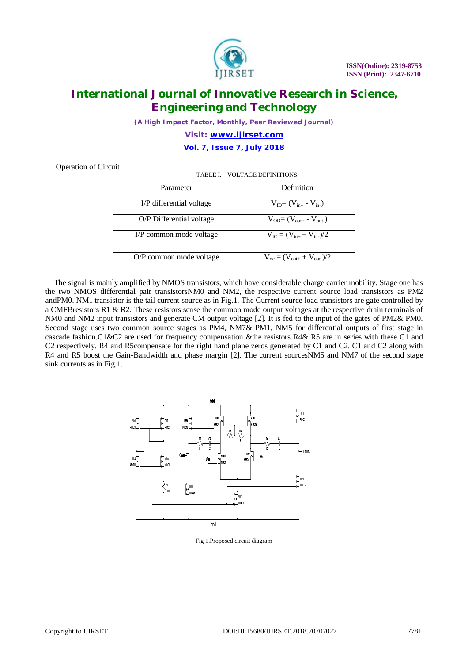

*(A High Impact Factor, Monthly, Peer Reviewed Journal)*

*Visit: [www.ijirset.com](http://www.ijirset.com)* **Vol. 7, Issue 7, July 2018**

Operation of Circuit

TABLE I. VOLTAGE DEFINITIONS

| Parameter                | Definition                                     |
|--------------------------|------------------------------------------------|
| I/P differential voltage | $V_{ID} = (V_{in+} - V_{in-})$                 |
| O/P Differential voltage | $V_{OD} = (V_{out+} - V_{out-})$               |
| I/P common mode voltage  | $V_{IC} = (V_{in+} + V_{in})/2$                |
| O/P common mode voltage  | $V_{\rm oc} = (V_{\rm out+} + V_{\rm out-})/2$ |

The signal is mainly amplified by NMOS transistors, which have considerable charge carrier mobility. Stage one has the two NMOS differential pair transistorsNM0 and NM2, the respective current source load transistors as PM2 andPM0. NM1 transistor is the tail current source as in Fig.1. The Current source load transistors are gate controlled by a CMFBresistors R1 & R2. These resistors sense the common mode output voltages at the respective drain terminals of NM0 and NM2 input transistors and generate CM output voltage [2]. It is fed to the input of the gates of PM2& PM0. Second stage uses two common source stages as PM4, NM7& PM1, NM5 for differential outputs of first stage in cascade fashion.C1&C2 are used for frequency compensation &the resistors R4& R5 are in series with these C1 and C2 respectively. R4 and R5compensate for the right hand plane zeros generated by C1 and C2. C1 and C2 along with R4 and R5 boost the Gain-Bandwidth and phase margin [2]. The current sourcesNM5 and NM7 of the second stage sink currents as in Fig.1.



Fig 1.Proposed circuit diagram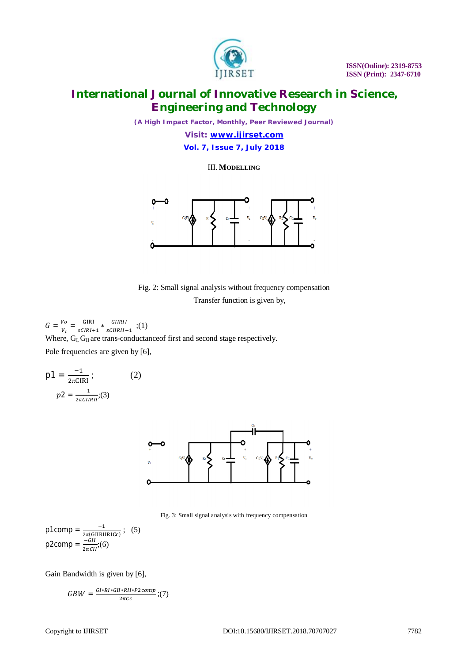

*(A High Impact Factor, Monthly, Peer Reviewed Journal)*

*Visit: [www.ijirset.com](http://www.ijirset.com)* **Vol. 7, Issue 7, July 2018**

III. **MODELLING**



Fig. 2: Small signal analysis without frequency compensation Transfer function is given by,

 $G=\frac{V\sigma}{V}$  $\frac{V_O}{V_i} = \frac{GIRI}{sCIRI + r}$  $\frac{GIRI}{sCIRI+1} * \frac{GIIRII}{sCIRII+1}$  $\frac{q_{HMI}}{sCHRII+1}$ ;(1) Where,  $G_{I}$  G<sub>II</sub> are trans-conductance of first and second stage respectively.

Pole frequencies are given by [6],

$$
p1 = \frac{-1}{2\pi CIRI};
$$
 (2)  

$$
p2 = \frac{-1}{2\pi CIRII};
$$



Fig. 3: Small signal analysis with frequency compensation

$$
\text{p1comp} = \frac{-1}{2\pi \text{(GIRIIRICc)}}; \quad (5)
$$
\n
$$
\text{p2comp} = \frac{-GI}{2\pi CI}; \quad (6)
$$

Gain Bandwidth is given by [6],

$$
GBW = \frac{GI * RI * GII * RII * P2comp}{2\pi c c} ; (7)
$$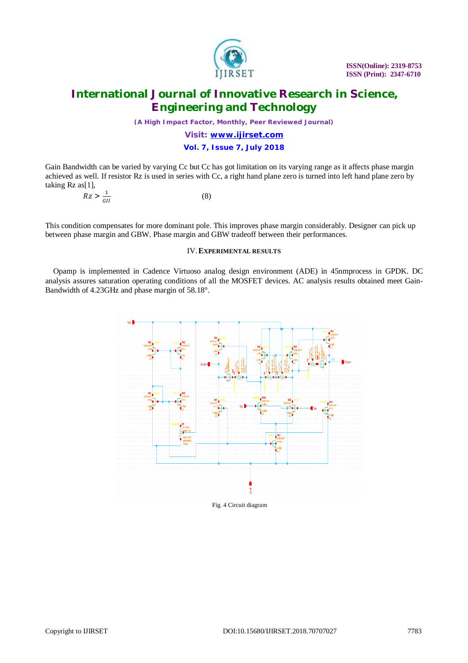

*(A High Impact Factor, Monthly, Peer Reviewed Journal)*

## *Visit: [www.ijirset.com](http://www.ijirset.com)* **Vol. 7, Issue 7, July 2018**

Gain Bandwidth can be varied by varying Cc but Cc has got limitation on its varying range as it affects phase margin achieved as well. If resistor Rz is used in series with Cc, a right hand plane zero is turned into left hand plane zero by taking Rz as[1],

$$
Rz > \frac{1}{GII} \tag{8}
$$

This condition compensates for more dominant pole. This improves phase margin considerably. Designer can pick up between phase margin and GBW. Phase margin and GBW tradeoff between their performances.

#### IV.**EXPERIMENTAL RESULTS**

Opamp is implemented in Cadence Virtuoso analog design environment (ADE) in 45nmprocess in GPDK. DC analysis assures saturation operating conditions of all the MOSFET devices. AC analysis results obtained meet Gain-Bandwidth of 4.23GHz and phase margin of 58.18°.

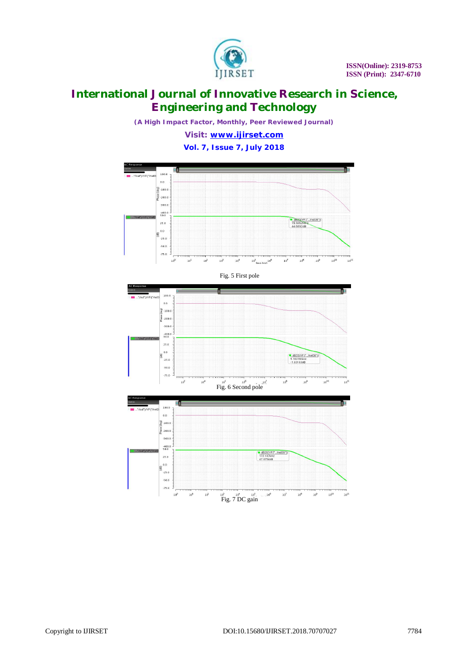

*(A High Impact Factor, Monthly, Peer Reviewed Journal)*

*Visit: [www.ijirset.com](http://www.ijirset.com)* **Vol. 7, Issue 7, July 2018**

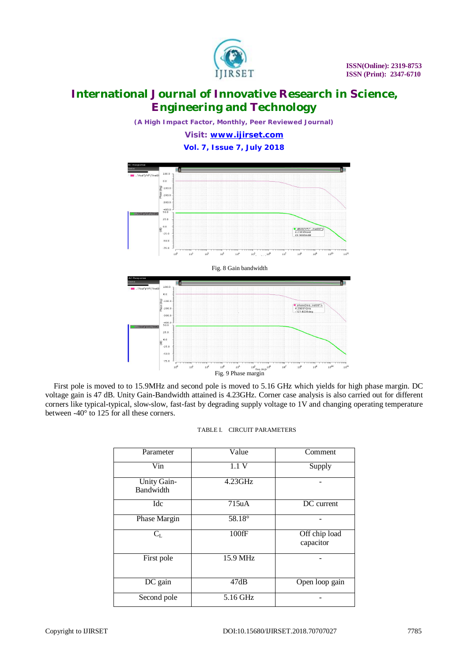

*(A High Impact Factor, Monthly, Peer Reviewed Journal)*

*Visit: [www.ijirset.com](http://www.ijirset.com)* **Vol. 7, Issue 7, July 2018**



First pole is moved to to 15.9MHz and second pole is moved to 5.16 GHz which yields for high phase margin. DC voltage gain is 47 dB. Unity Gain-Bandwidth attained is 4.23GHz. Corner case analysis is also carried out for different corners like typical-typical, slow-slow, fast-fast by degrading supply voltage to 1V and changing operating temperature between -40° to 125 for all these corners.

| Parameter                       | Value                        | Comment                    |
|---------------------------------|------------------------------|----------------------------|
| Vin                             | 1.1V                         | Supply                     |
| Unity Gain-<br><b>Bandwidth</b> | $4.23 \overline{\text{GHz}}$ |                            |
| Idc                             | 715uA                        | DC current                 |
| Phase Margin                    | 58.18°                       |                            |
| $C_{L}$                         | 100fF                        | Off chip load<br>capacitor |
| First pole                      | 15.9 MHz                     |                            |
| $\overline{DC}$ gain            | 47dB                         | Open loop gain             |
| Second pole                     | $5.16$ GHz                   |                            |